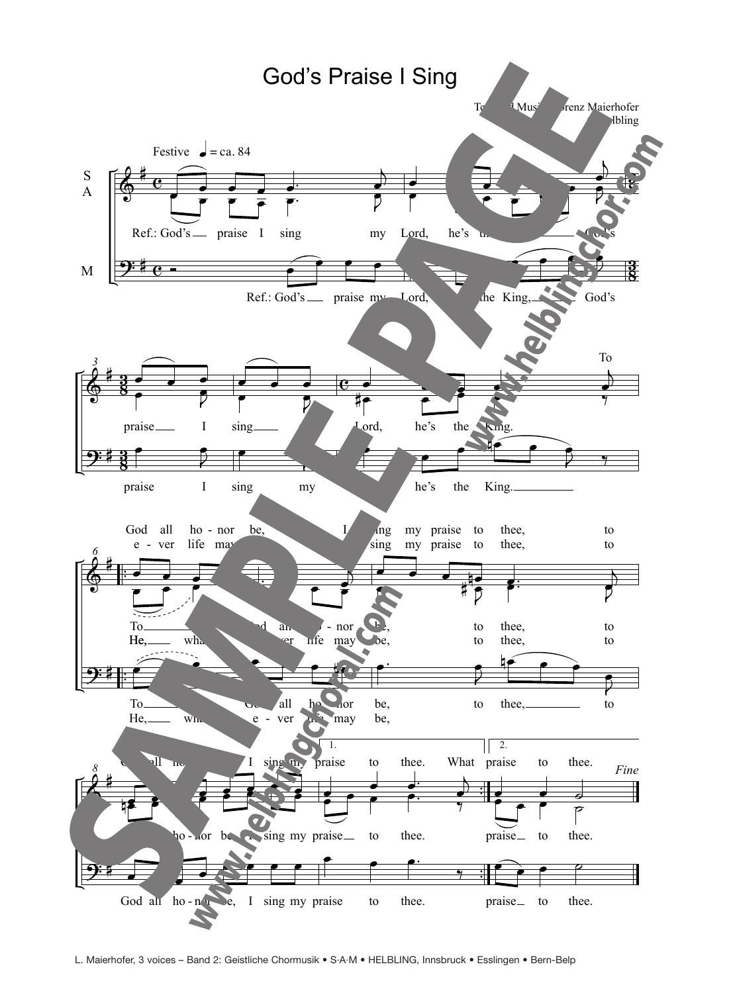